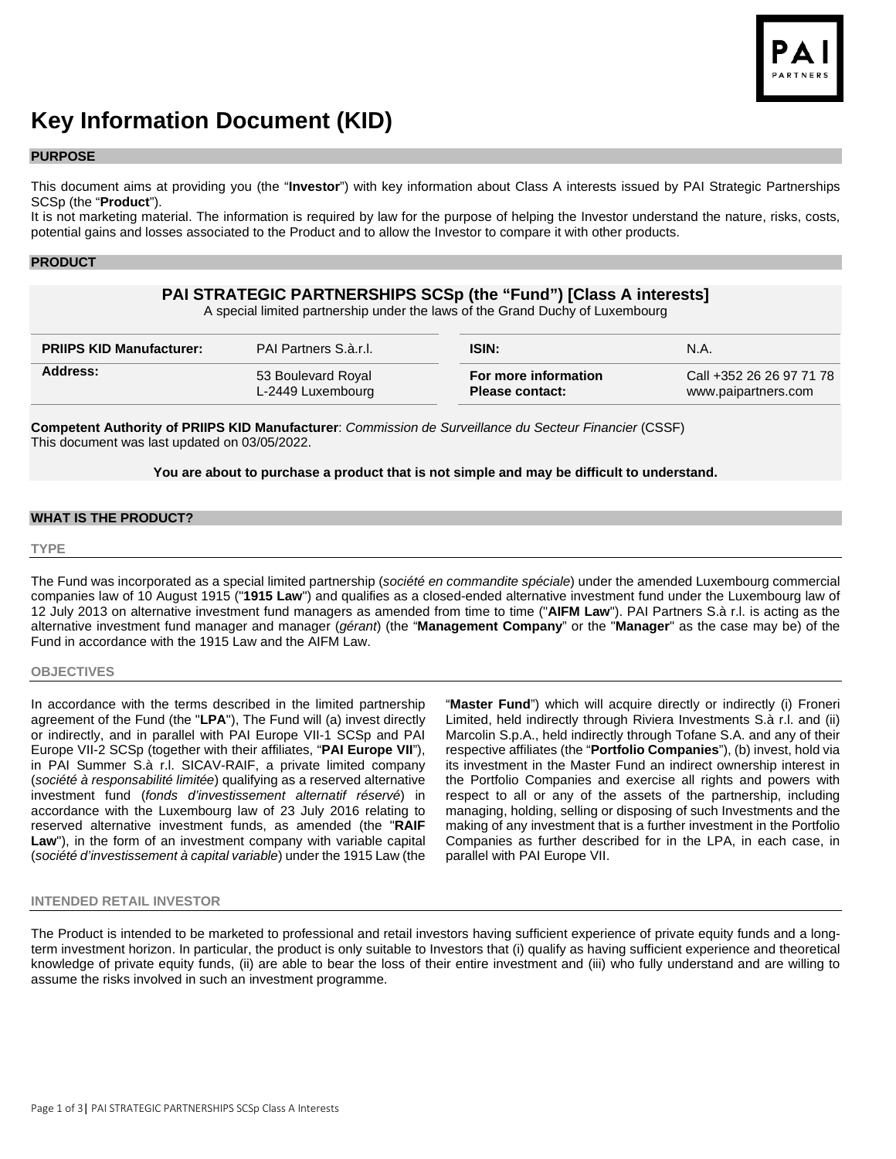

# **Key Information Document (KID)**

## **PURPOSE**

This document aims at providing you (the "**Investor**") with key information about Class A interests issued by PAI Strategic Partnerships SCSp (the "**Product**").

It is not marketing material. The information is required by law for the purpose of helping the Investor understand the nature, risks, costs, potential gains and losses associated to the Product and to allow the Investor to compare it with other products.

## **PRODUCT**

# **PAI STRATEGIC PARTNERSHIPS SCSp (the "Fund") [Class A interests]**

A special limited partnership under the laws of the Grand Duchy of Luxembourg

| <b>PRIIPS KID Manufacturer:</b><br><b>PAI Partners S.à.r.I.</b> |                    | <b>ISIN:</b>           | N.A.                     |
|-----------------------------------------------------------------|--------------------|------------------------|--------------------------|
| Address:                                                        | 53 Boulevard Royal | For more information   | Call +352 26 26 97 71 78 |
|                                                                 | L-2449 Luxembourg  | <b>Please contact:</b> | www.paipartners.com      |

**Competent Authority of PRIIPS KID Manufacturer**: *Commission de Surveillance du Secteur Financier* (CSSF) This document was last updated on 03/05/2022.

#### **You are about to purchase a product that is not simple and may be difficult to understand.**

## **WHAT IS THE PRODUCT?**

#### **TYPE**

The Fund was incorporated as a special limited partnership (*société en commandite spéciale*) under the amended Luxembourg commercial companies law of 10 August 1915 ("**1915 Law**") and qualifies as a closed-ended alternative investment fund under the Luxembourg law of 12 July 2013 on alternative investment fund managers as amended from time to time ("**AIFM Law**"). PAI Partners S.à r.l. is acting as the alternative investment fund manager and manager (*gérant*) (the "**Management Company**" or the "**Manager**" as the case may be) of the Fund in accordance with the 1915 Law and the AIFM Law.

#### **OBJECTIVES**

In accordance with the terms described in the limited partnership agreement of the Fund (the "**LPA**"), The Fund will (a) invest directly or indirectly, and in parallel with PAI Europe VII-1 SCSp and PAI Europe VII-2 SCSp (together with their affiliates, "**PAI Europe VII**"), in PAI Summer S.à r.l. SICAV-RAIF, a private limited company (*société à responsabilité limitée*) qualifying as a reserved alternative investment fund (*fonds d'investissement alternatif réservé*) in accordance with the Luxembourg law of 23 July 2016 relating to reserved alternative investment funds, as amended (the "**RAIF Law**"), in the form of an investment company with variable capital (*société d'investissement à capital variable*) under the 1915 Law (the

"**Master Fund**") which will acquire directly or indirectly (i) Froneri Limited, held indirectly through Riviera Investments S.à r.l. and (ii) Marcolin S.p.A., held indirectly through Tofane S.A. and any of their respective affiliates (the "**Portfolio Companies**"), (b) invest, hold via its investment in the Master Fund an indirect ownership interest in the Portfolio Companies and exercise all rights and powers with respect to all or any of the assets of the partnership, including managing, holding, selling or disposing of such Investments and the making of any investment that is a further investment in the Portfolio Companies as further described for in the LPA, in each case, in parallel with PAI Europe VII.

#### **INTENDED RETAIL INVESTOR**

The Product is intended to be marketed to professional and retail investors having sufficient experience of private equity funds and a longterm investment horizon. In particular, the product is only suitable to Investors that (i) qualify as having sufficient experience and theoretical knowledge of private equity funds, (ii) are able to bear the loss of their entire investment and (iii) who fully understand and are willing to assume the risks involved in such an investment programme.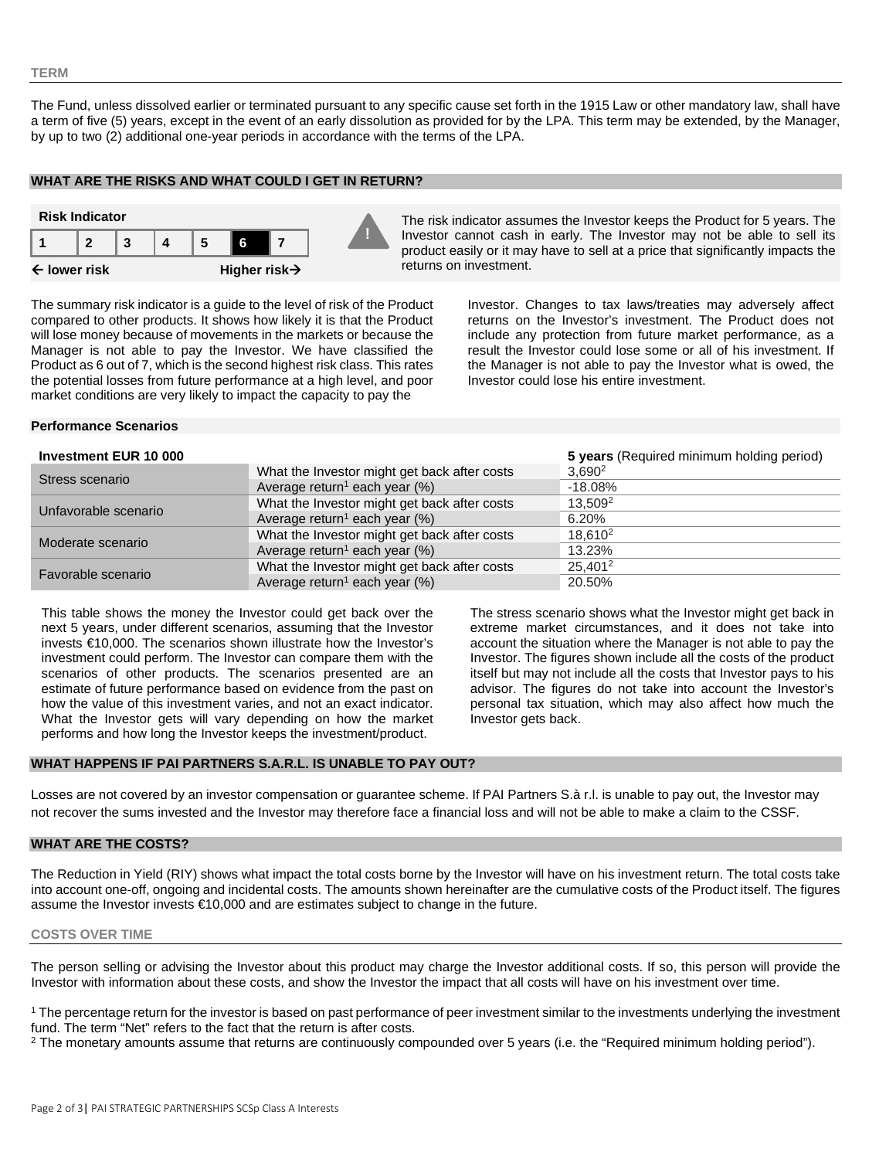### **TERM**

The Fund, unless dissolved earlier or terminated pursuant to any specific cause set forth in the 1915 Law or other mandatory law, shall have a term of five (5) years, except in the event of an early dissolution as provided for by the LPA. This term may be extended, by the Manager, by up to two (2) additional one-year periods in accordance with the terms of the LPA.

## **WHAT ARE THE RISKS AND WHAT COULD I GET IN RETURN?**



Investor cannot cash in early. The Investor may not be able to sell its product easily or it may have to sell at a price that significantly impacts the returns on investment.

The summary risk indicator is a guide to the level of risk of the Product compared to other products. It shows how likely it is that the Product will lose money because of movements in the markets or because the Manager is not able to pay the Investor. We have classified the Product as 6 out of 7, which is the second highest risk class. This rates the potential losses from future performance at a high level, and poor market conditions are very likely to impact the capacity to pay the

Investor. Changes to tax laws/treaties may adversely affect returns on the Investor's investment. The Product does not include any protection from future market performance, as a result the Investor could lose some or all of his investment. If the Manager is not able to pay the Investor what is owed, the Investor could lose his entire investment.

## **Performance Scenarios**

#### **Investment EUR 10 000 5 years** (Required minimum holding period)

| <u> 11 IV CONTIGHT LOIT TU OUU</u> |                                              | <b>U</b> years the ganca minimum notaing period) |
|------------------------------------|----------------------------------------------|--------------------------------------------------|
| Stress scenario                    | What the Investor might get back after costs | $3,690^2$                                        |
|                                    | Average return <sup>1</sup> each year $(\%)$ | $-18.08\%$                                       |
| Unfavorable scenario               | What the Investor might get back after costs | 13.509 <sup>2</sup>                              |
|                                    | Average return <sup>1</sup> each year $(\%)$ | 6.20%                                            |
| Moderate scenario                  | What the Investor might get back after costs | 18.610 <sup>2</sup>                              |
|                                    | Average return <sup>1</sup> each year $(\%)$ | 13.23%                                           |
| Favorable scenario                 | What the Investor might get back after costs | 25.401 <sup>2</sup>                              |
|                                    | Average return <sup>1</sup> each year $(\%)$ | 20.50%                                           |

This table shows the money the Investor could get back over the next 5 years, under different scenarios, assuming that the Investor invests €10,000. The scenarios shown illustrate how the Investor's investment could perform. The Investor can compare them with the scenarios of other products. The scenarios presented are an estimate of future performance based on evidence from the past on how the value of this investment varies, and not an exact indicator. What the Investor gets will vary depending on how the market performs and how long the Investor keeps the investment/product.

The stress scenario shows what the Investor might get back in extreme market circumstances, and it does not take into account the situation where the Manager is not able to pay the Investor. The figures shown include all the costs of the product itself but may not include all the costs that Investor pays to his advisor. The figures do not take into account the Investor's personal tax situation, which may also affect how much the Investor gets back.

## **WHAT HAPPENS IF PAI PARTNERS S.A.R.L. IS UNABLE TO PAY OUT?**

Losses are not covered by an investor compensation or guarantee scheme. If PAI Partners S.à r.l. is unable to pay out, the Investor may not recover the sums invested and the Investor may therefore face a financial loss and will not be able to make a claim to the CSSF.

## **WHAT ARE THE COSTS?**

The Reduction in Yield (RIY) shows what impact the total costs borne by the Investor will have on his investment return. The total costs take into account one-off, ongoing and incidental costs. The amounts shown hereinafter are the cumulative costs of the Product itself. The figures assume the Investor invests €10,000 and are estimates subject to change in the future.

## **COSTS OVER TIME**

The person selling or advising the Investor about this product may charge the Investor additional costs. If so, this person will provide the Investor with information about these costs, and show the Investor the impact that all costs will have on his investment over time.

<sup>1</sup> The percentage return for the investor is based on past performance of peer investment similar to the investments underlying the investment fund. The term "Net" refers to the fact that the return is after costs.

<sup>2</sup> The monetary amounts assume that returns are continuously compounded over 5 years (i.e. the "Required minimum holding period").